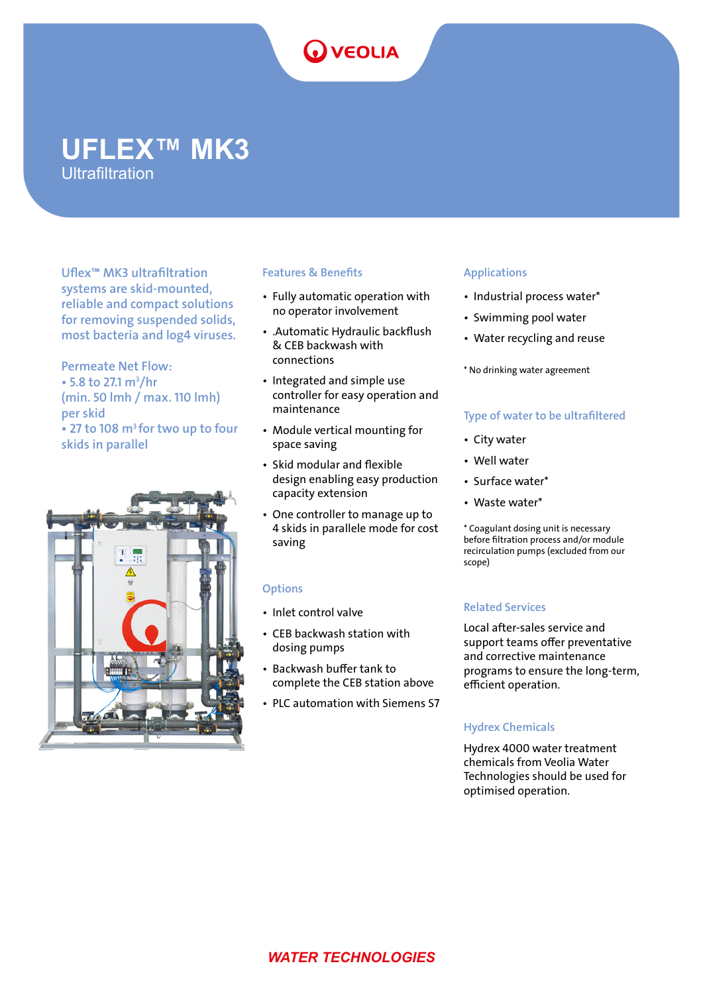# **OVEOLIA**

## **UFLEX™ MK3 Ultrafiltration**

Uflex™ MK3 ultrafiltration systems are skid-mounted, reliable and compact solutions for removing suspended solids, most bacteria and log4 viruses.

Permeate Net Flow:  $\cdot$  5.8 to 27.1 m<sup>3</sup>/hr (min. 50 lmh / max. 110 lmh) per skid • 27 to 108 m<sup>3</sup> for two up to four skids in parallel



## Features & Benefits

- Fully automatic operation with no operator involvement
- .Automatic Hydraulic backflush & CEB backwash with connections
- Integrated and simple use controller for easy operation and maintenance
- Module vertical mounting for space saving
- Skid modular and flexible design enabling easy production capacity extension
- One controller to manage up to 4 skids in parallele mode for cost saving

## **Options**

- Inlet control valve
- CEB backwash station with dosing pumps
- Backwash buffer tank to complete the CEB station above
- PLC automation with Siemens S7

## Applications

- Industrial process water\*
- Swimming pool water
- Water recycling and reuse
- \* No drinking water agreement

## Type of water to be ultrafiltered

- City water
- Well water
- Surface water\*
- Waste water\*

\* Coagulant dosing unit is necessary before filtration process and/or module recirculation pumps (excluded from our scope)

## Related Services

Local after-sales service and support teams offer preventative and corrective maintenance programs to ensure the long-term, efficient operation.

## Hydrex Chemicals

Hydrex 4000 water treatment chemicals from Veolia Water Technologies should be used for optimised operation.

## *WATER TECHNOLOGIES*